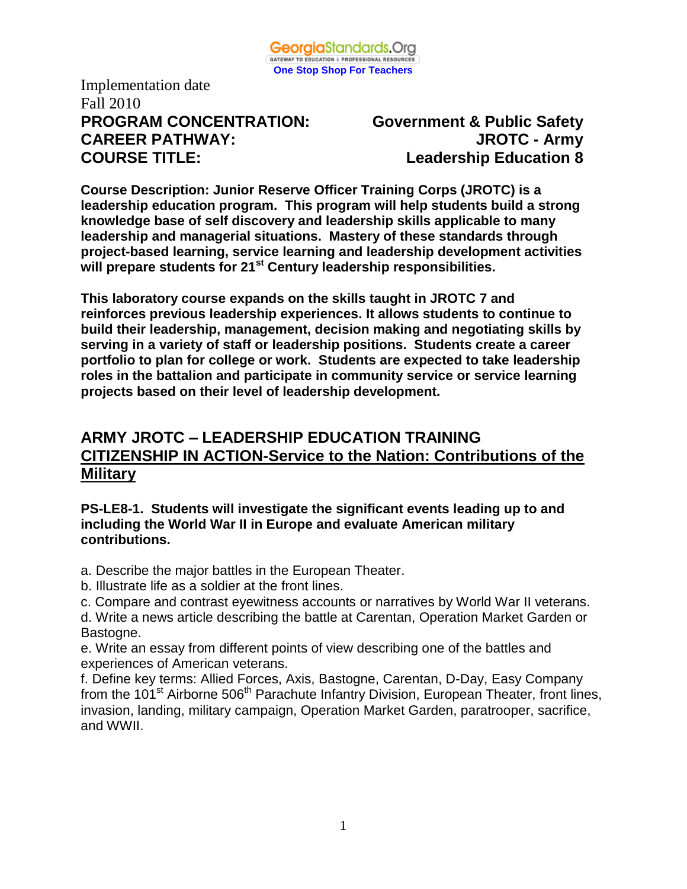

Implementation date Fall 2010 **PROGRAM CONCENTRATION: Government & Public Safety CAREER PATHWAY: JROTC - Army COURSE TITLE: Leadership Education 8**

**Course Description: Junior Reserve Officer Training Corps (JROTC) is a leadership education program. This program will help students build a strong knowledge base of self discovery and leadership skills applicable to many leadership and managerial situations. Mastery of these standards through project-based learning, service learning and leadership development activities will prepare students for 21st Century leadership responsibilities.**

**This laboratory course expands on the skills taught in JROTC 7 and reinforces previous leadership experiences. It allows students to continue to build their leadership, management, decision making and negotiating skills by serving in a variety of staff or leadership positions. Students create a career portfolio to plan for college or work. Students are expected to take leadership roles in the battalion and participate in community service or service learning projects based on their level of leadership development.** 

# **ARMY JROTC – LEADERSHIP EDUCATION TRAINING CITIZENSHIP IN ACTION-Service to the Nation: Contributions of the Military**

## **PS-LE8-1. Students will investigate the significant events leading up to and including the World War II in Europe and evaluate American military contributions.**

a. Describe the major battles in the European Theater.

b. Illustrate life as a soldier at the front lines.

c. Compare and contrast eyewitness accounts or narratives by World War II veterans.

d. Write a news article describing the battle at Carentan, Operation Market Garden or Bastogne.

e. Write an essay from different points of view describing one of the battles and experiences of American veterans.

f. Define key terms: Allied Forces, Axis, Bastogne, Carentan, D-Day, Easy Company from the 101<sup>st</sup> Airborne 506<sup>th</sup> Parachute Infantry Division, European Theater, front lines, invasion, landing, military campaign, Operation Market Garden, paratrooper, sacrifice, and WWII.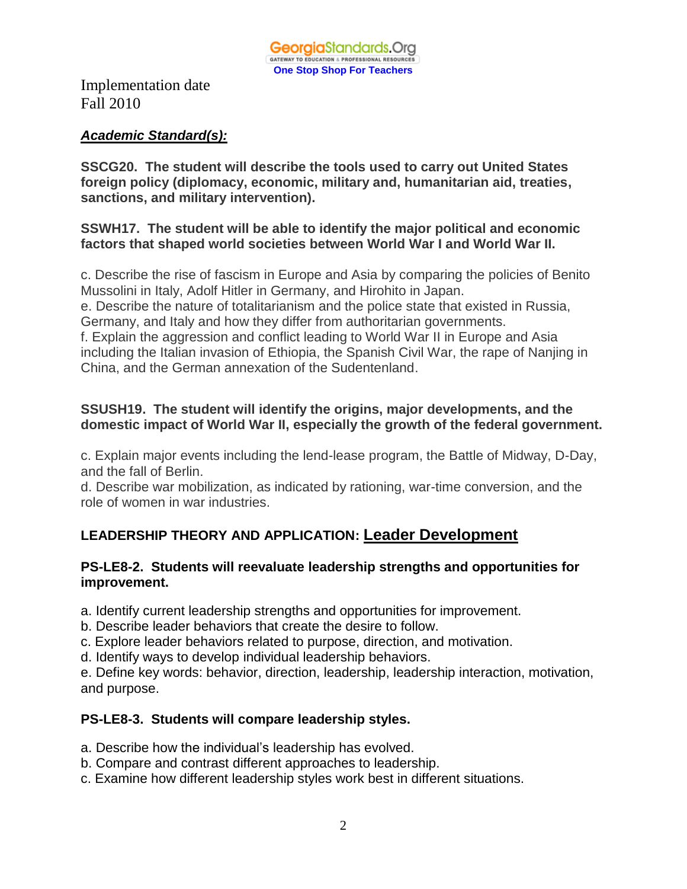## *Academic Standard(s):*

**SSCG20. The student will describe the tools used to carry out United States foreign policy (diplomacy, economic, military and, humanitarian aid, treaties, sanctions, and military intervention).** 

## **SSWH17. The student will be able to identify the major political and economic factors that shaped world societies between World War I and World War II.**

c. Describe the rise of fascism in Europe and Asia by comparing the policies of Benito Mussolini in Italy, Adolf Hitler in Germany, and Hirohito in Japan.

e. Describe the nature of totalitarianism and the police state that existed in Russia, Germany, and Italy and how they differ from authoritarian governments.

f. Explain the aggression and conflict leading to World War II in Europe and Asia including the Italian invasion of Ethiopia, the Spanish Civil War, the rape of Nanjing in China, and the German annexation of the Sudentenland.

## **SSUSH19. The student will identify the origins, major developments, and the domestic impact of World War II, especially the growth of the federal government.**

c. Explain major events including the lend-lease program, the Battle of Midway, D-Day, and the fall of Berlin.

d. Describe war mobilization, as indicated by rationing, war-time conversion, and the role of women in war industries.

# **LEADERSHIP THEORY AND APPLICATION: Leader Development**

## **PS-LE8-2. Students will reevaluate leadership strengths and opportunities for improvement.**

a. Identify current leadership strengths and opportunities for improvement.

- b. Describe leader behaviors that create the desire to follow.
- c. Explore leader behaviors related to purpose, direction, and motivation.
- d. Identify ways to develop individual leadership behaviors.

e. Define key words: behavior, direction, leadership, leadership interaction, motivation, and purpose.

## **PS-LE8-3. Students will compare leadership styles.**

- a. Describe how the individual's leadership has evolved.
- b. Compare and contrast different approaches to leadership.
- c. Examine how different leadership styles work best in different situations.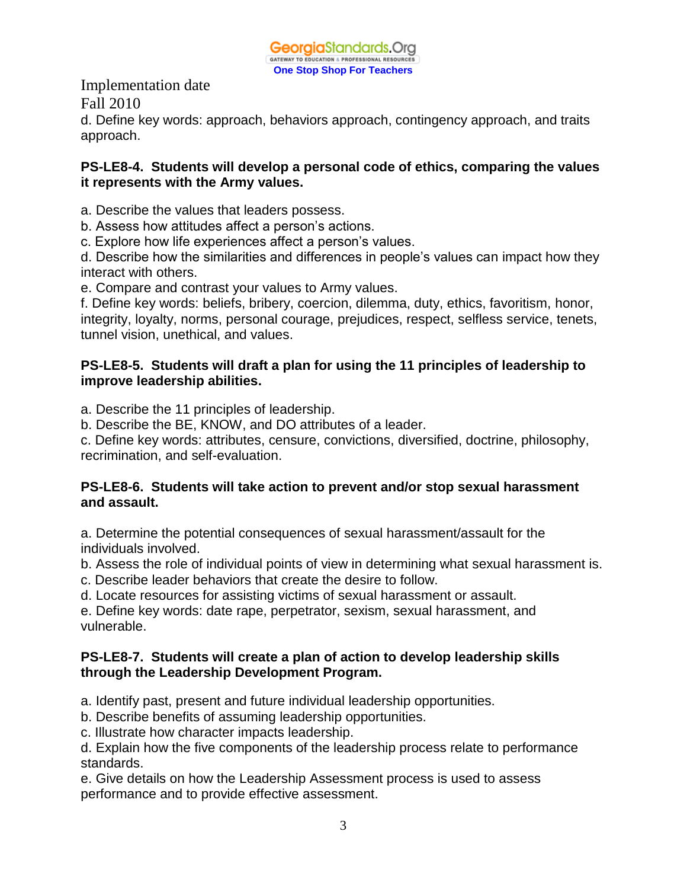

Implementation date Fall 2010 d. Define key words: approach, behaviors approach, contingency approach, and traits approach.

#### **PS-LE8-4. Students will develop a personal code of ethics, comparing the values it represents with the Army values.**

a. Describe the values that leaders possess.

b. Assess how attitudes affect a person's actions.

c. Explore how life experiences affect a person's values.

d. Describe how the similarities and differences in people's values can impact how they interact with others.

e. Compare and contrast your values to Army values.

f. Define key words: beliefs, bribery, coercion, dilemma, duty, ethics, favoritism, honor, integrity, loyalty, norms, personal courage, prejudices, respect, selfless service, tenets, tunnel vision, unethical, and values.

### **PS-LE8-5. Students will draft a plan for using the 11 principles of leadership to improve leadership abilities.**

- a. Describe the 11 principles of leadership.
- b. Describe the BE, KNOW, and DO attributes of a leader.

c. Define key words: attributes, censure, convictions, diversified, doctrine, philosophy, recrimination, and self-evaluation.

#### **PS-LE8-6. Students will take action to prevent and/or stop sexual harassment and assault.**

a. Determine the potential consequences of sexual harassment/assault for the individuals involved.

b. Assess the role of individual points of view in determining what sexual harassment is.

- c. Describe leader behaviors that create the desire to follow.
- d. Locate resources for assisting victims of sexual harassment or assault.

e. Define key words: date rape, perpetrator, sexism, sexual harassment, and vulnerable.

## **PS-LE8-7. Students will create a plan of action to develop leadership skills through the Leadership Development Program.**

- a. Identify past, present and future individual leadership opportunities.
- b. Describe benefits of assuming leadership opportunities.
- c. Illustrate how character impacts leadership.

d. Explain how the five components of the leadership process relate to performance standards.

e. Give details on how the Leadership Assessment process is used to assess performance and to provide effective assessment.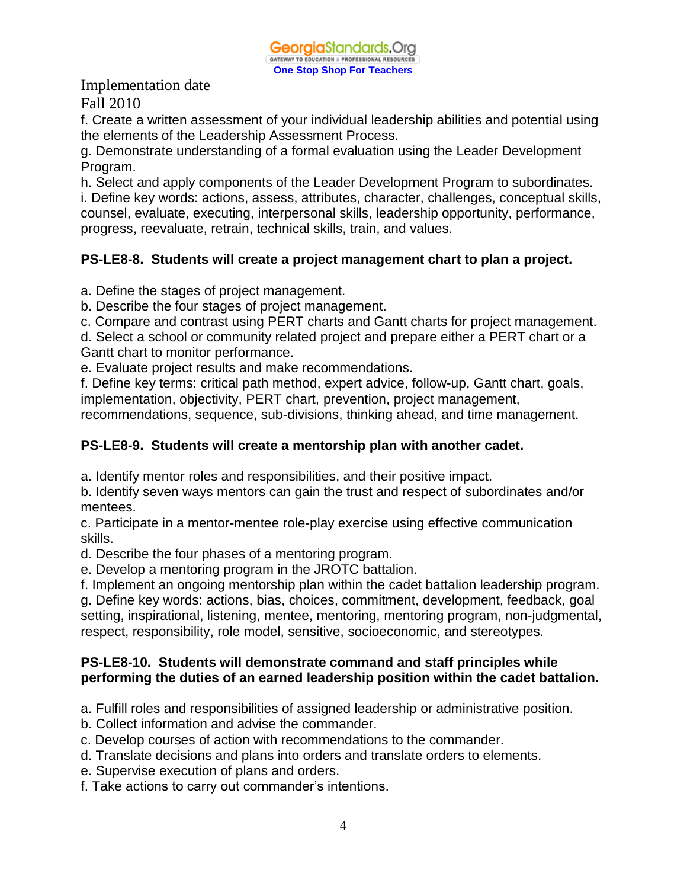f. Create a written assessment of your individual leadership abilities and potential using the elements of the Leadership Assessment Process.

g. Demonstrate understanding of a formal evaluation using the Leader Development Program.

h. Select and apply components of the Leader Development Program to subordinates. i. Define key words: actions, assess, attributes, character, challenges, conceptual skills, counsel, evaluate, executing, interpersonal skills, leadership opportunity, performance, progress, reevaluate, retrain, technical skills, train, and values.

## **PS-LE8-8. Students will create a project management chart to plan a project.**

a. Define the stages of project management.

b. Describe the four stages of project management.

c. Compare and contrast using PERT charts and Gantt charts for project management.

d. Select a school or community related project and prepare either a PERT chart or a Gantt chart to monitor performance.

e. Evaluate project results and make recommendations.

f. Define key terms: critical path method, expert advice, follow-up, Gantt chart, goals, implementation, objectivity, PERT chart, prevention, project management,

recommendations, sequence, sub-divisions, thinking ahead, and time management.

## **PS-LE8-9. Students will create a mentorship plan with another cadet.**

a. Identify mentor roles and responsibilities, and their positive impact.

b. Identify seven ways mentors can gain the trust and respect of subordinates and/or mentees.

c. Participate in a mentor-mentee role-play exercise using effective communication skills.

d. Describe the four phases of a mentoring program.

e. Develop a mentoring program in the JROTC battalion.

f. Implement an ongoing mentorship plan within the cadet battalion leadership program.

g. Define key words: actions, bias, choices, commitment, development, feedback, goal setting, inspirational, listening, mentee, mentoring, mentoring program, non-judgmental, respect, responsibility, role model, sensitive, socioeconomic, and stereotypes.

## **PS-LE8-10. Students will demonstrate command and staff principles while performing the duties of an earned leadership position within the cadet battalion.**

a. Fulfill roles and responsibilities of assigned leadership or administrative position.

- b. Collect information and advise the commander.
- c. Develop courses of action with recommendations to the commander.
- d. Translate decisions and plans into orders and translate orders to elements.
- e. Supervise execution of plans and orders.
- f. Take actions to carry out commander's intentions.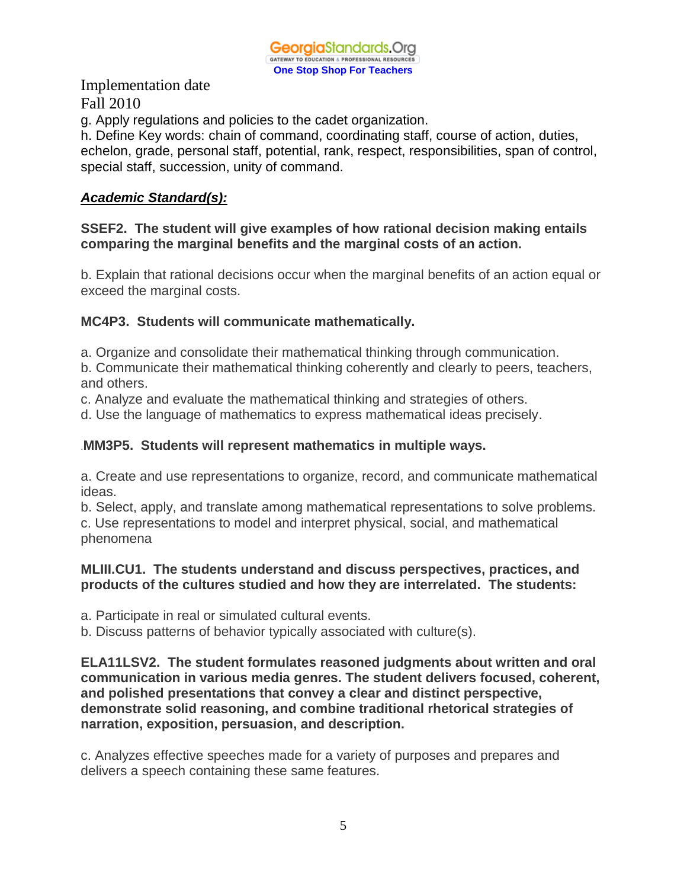

g. Apply regulations and policies to the cadet organization.

h. Define Key words: chain of command, coordinating staff, course of action, duties, echelon, grade, personal staff, potential, rank, respect, responsibilities, span of control, special staff, succession, unity of command.

## *Academic Standard(s):*

## **SSEF2. The student will give examples of how rational decision making entails comparing the marginal benefits and the marginal costs of an action.**

b. Explain that rational decisions occur when the marginal benefits of an action equal or exceed the marginal costs.

## **MC4P3. Students will communicate mathematically.**

a. Organize and consolidate their mathematical thinking through communication.

b. Communicate their mathematical thinking coherently and clearly to peers, teachers, and others.

c. Analyze and evaluate the mathematical thinking and strategies of others.

d. Use the language of mathematics to express mathematical ideas precisely.

## .**MM3P5. Students will represent mathematics in multiple ways.**

a. Create and use representations to organize, record, and communicate mathematical ideas.

b. Select, apply, and translate among mathematical representations to solve problems. c. Use representations to model and interpret physical, social, and mathematical phenomena

## **MLIII.CU1. The students understand and discuss perspectives, practices, and products of the cultures studied and how they are interrelated. The students:**

a. Participate in real or simulated cultural events.

b. Discuss patterns of behavior typically associated with culture(s).

**ELA11LSV2. The student formulates reasoned judgments about written and oral communication in various media genres. The student delivers focused, coherent, and polished presentations that convey a clear and distinct perspective, demonstrate solid reasoning, and combine traditional rhetorical strategies of narration, exposition, persuasion, and description.**

c. Analyzes effective speeches made for a variety of purposes and prepares and delivers a speech containing these same features.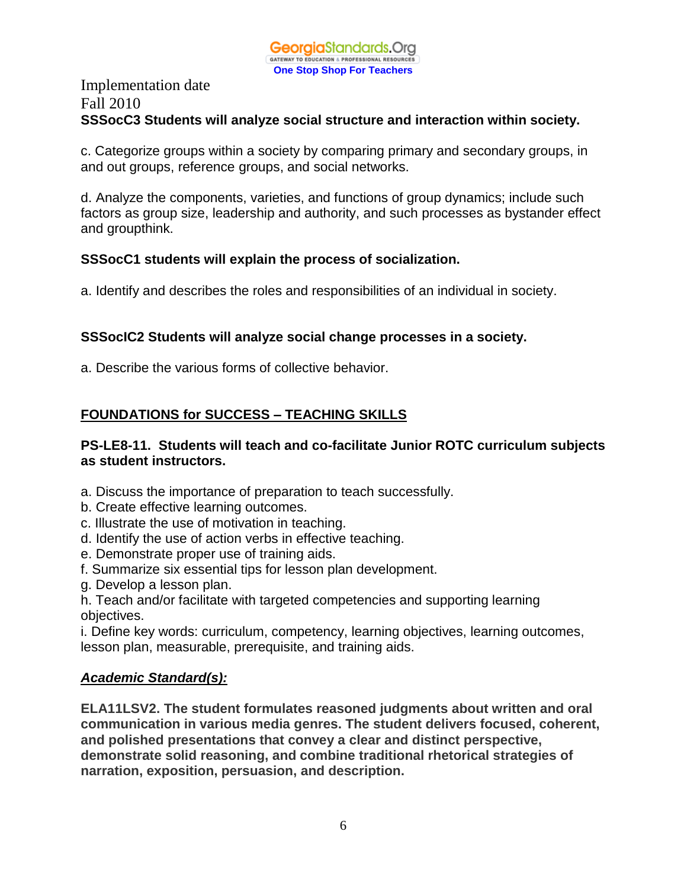## Implementation date Fall 2010 **SSSocC3 Students will analyze social structure and interaction within society.**

c. Categorize groups within a society by comparing primary and secondary groups, in and out groups, reference groups, and social networks.

d. Analyze the components, varieties, and functions of group dynamics; include such factors as group size, leadership and authority, and such processes as bystander effect and groupthink.

## **SSSocC1 students will explain the process of socialization.**

a. Identify and describes the roles and responsibilities of an individual in society.

## **SSSocIC2 Students will analyze social change processes in a society.**

a. Describe the various forms of collective behavior.

# **FOUNDATIONS for SUCCESS – TEACHING SKILLS**

## **PS-LE8-11. Students will teach and co-facilitate Junior ROTC curriculum subjects as student instructors.**

- a. Discuss the importance of preparation to teach successfully.
- b. Create effective learning outcomes.
- c. Illustrate the use of motivation in teaching.
- d. Identify the use of action verbs in effective teaching.
- e. Demonstrate proper use of training aids.
- f. Summarize six essential tips for lesson plan development.
- g. Develop a lesson plan.
- h. Teach and/or facilitate with targeted competencies and supporting learning objectives.

i. Define key words: curriculum, competency, learning objectives, learning outcomes, lesson plan, measurable, prerequisite, and training aids.

# *Academic Standard(s):*

**ELA11LSV2. The student formulates reasoned judgments about written and oral communication in various media genres. The student delivers focused, coherent, and polished presentations that convey a clear and distinct perspective, demonstrate solid reasoning, and combine traditional rhetorical strategies of narration, exposition, persuasion, and description.**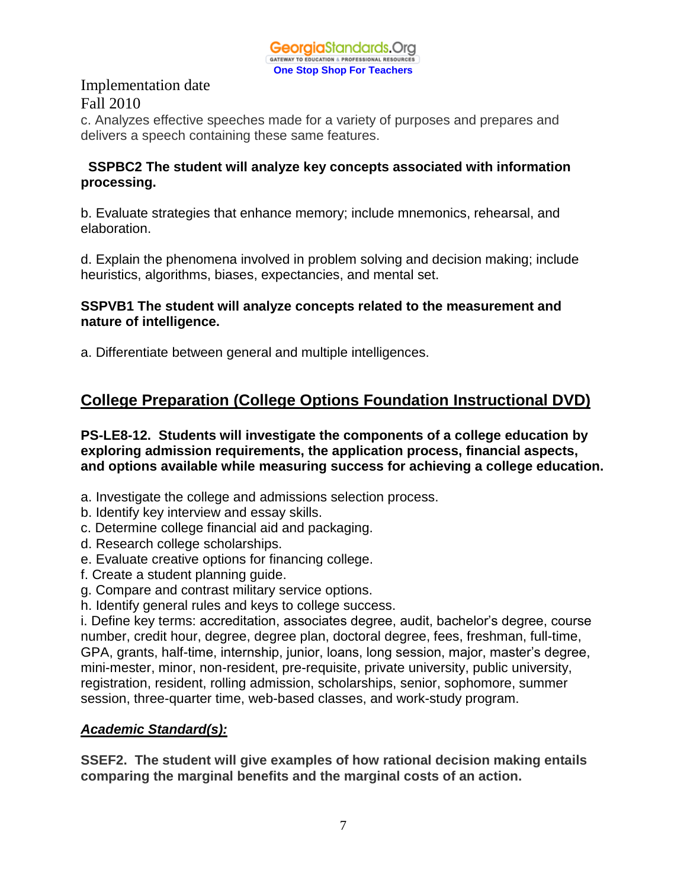

c. Analyzes effective speeches made for a variety of purposes and prepares and delivers a speech containing these same features.

## **SSPBC2 The student will analyze key concepts associated with information processing.**

b. Evaluate strategies that enhance memory; include mnemonics, rehearsal, and elaboration.

d. Explain the phenomena involved in problem solving and decision making; include heuristics, algorithms, biases, expectancies, and mental set.

### **SSPVB1 The student will analyze concepts related to the measurement and nature of intelligence.**

a. Differentiate between general and multiple intelligences.

# **College Preparation (College Options Foundation Instructional DVD)**

### **PS-LE8-12. Students will investigate the components of a college education by exploring admission requirements, the application process, financial aspects, and options available while measuring success for achieving a college education.**

- a. Investigate the college and admissions selection process.
- b. Identify key interview and essay skills.
- c. Determine college financial aid and packaging.
- d. Research college scholarships.
- e. Evaluate creative options for financing college.
- f. Create a student planning guide.
- g. Compare and contrast military service options.
- h. Identify general rules and keys to college success.

i. Define key terms: accreditation, associates degree, audit, bachelor's degree, course number, credit hour, degree, degree plan, doctoral degree, fees, freshman, full-time, GPA, grants, half-time, internship, junior, loans, long session, major, master's degree, mini-mester, minor, non-resident, pre-requisite, private university, public university, registration, resident, rolling admission, scholarships, senior, sophomore, summer session, three-quarter time, web-based classes, and work-study program.

## *Academic Standard(s):*

**SSEF2. The student will give examples of how rational decision making entails comparing the marginal benefits and the marginal costs of an action.**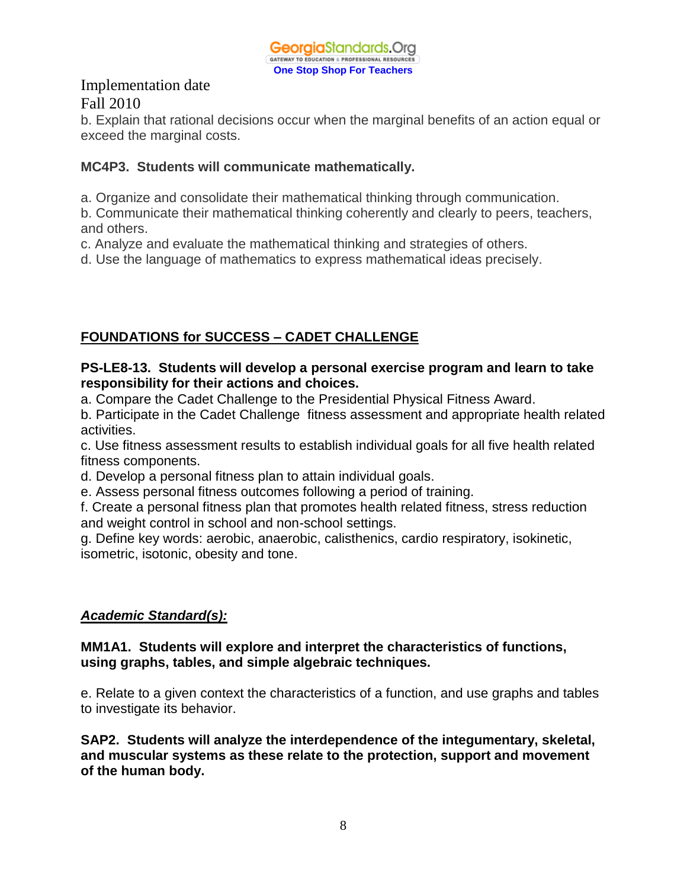b. Explain that rational decisions occur when the marginal benefits of an action equal or exceed the marginal costs.

## **MC4P3. Students will communicate mathematically.**

a. Organize and consolidate their mathematical thinking through communication.

b. Communicate their mathematical thinking coherently and clearly to peers, teachers, and others.

c. Analyze and evaluate the mathematical thinking and strategies of others.

d. Use the language of mathematics to express mathematical ideas precisely.

## **FOUNDATIONS for SUCCESS – CADET CHALLENGE**

## **PS-LE8-13. Students will develop a personal exercise program and learn to take responsibility for their actions and choices.**

a. Compare the Cadet Challenge to the Presidential Physical Fitness Award.

b. Participate in the Cadet Challenge fitness assessment and appropriate health related activities.

c. Use fitness assessment results to establish individual goals for all five health related fitness components.

d. Develop a personal fitness plan to attain individual goals.

e. Assess personal fitness outcomes following a period of training.

f. Create a personal fitness plan that promotes health related fitness, stress reduction and weight control in school and non-school settings.

g. Define key words: aerobic, anaerobic, calisthenics, cardio respiratory, isokinetic, isometric, isotonic, obesity and tone.

## *Academic Standard(s):*

## **MM1A1. Students will explore and interpret the characteristics of functions, using graphs, tables, and simple algebraic techniques.**

e. Relate to a given context the characteristics of a function, and use graphs and tables to investigate its behavior.

**SAP2. Students will analyze the interdependence of the integumentary, skeletal, and muscular systems as these relate to the protection, support and movement of the human body.**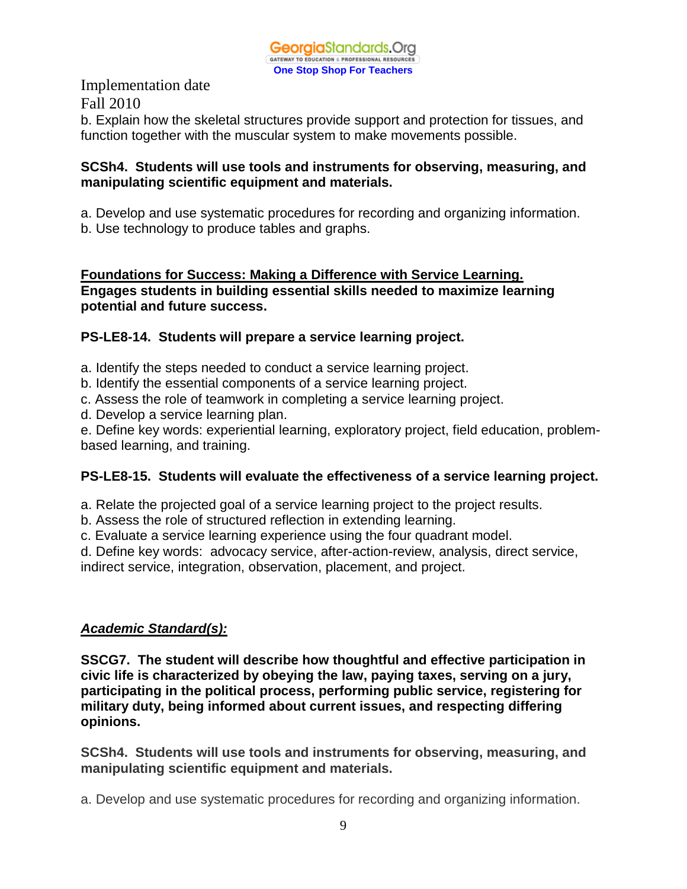

Implementation date Fall 2010 b. Explain how the skeletal structures provide support and protection for tissues, and function together with the muscular system to make movements possible.

### **SCSh4. Students will use tools and instruments for observing, measuring, and manipulating scientific equipment and materials.**

a. Develop and use systematic procedures for recording and organizing information.

b. Use technology to produce tables and graphs.

## **Foundations for Success: Making a Difference with Service Learning. Engages students in building essential skills needed to maximize learning potential and future success.**

## **PS-LE8-14. Students will prepare a service learning project.**

a. Identify the steps needed to conduct a service learning project.

b. Identify the essential components of a service learning project.

c. Assess the role of teamwork in completing a service learning project.

d. Develop a service learning plan.

e. Define key words: experiential learning, exploratory project, field education, problembased learning, and training.

# **PS-LE8-15. Students will evaluate the effectiveness of a service learning project.**

a. Relate the projected goal of a service learning project to the project results.

b. Assess the role of structured reflection in extending learning.

c. Evaluate a service learning experience using the four quadrant model.

d. Define key words: advocacy service, after-action-review, analysis, direct service,

indirect service, integration, observation, placement, and project.

# *Academic Standard(s):*

**SSCG7. The student will describe how thoughtful and effective participation in civic life is characterized by obeying the law, paying taxes, serving on a jury, participating in the political process, performing public service, registering for military duty, being informed about current issues, and respecting differing opinions.** 

**SCSh4. Students will use tools and instruments for observing, measuring, and manipulating scientific equipment and materials.**

a. Develop and use systematic procedures for recording and organizing information.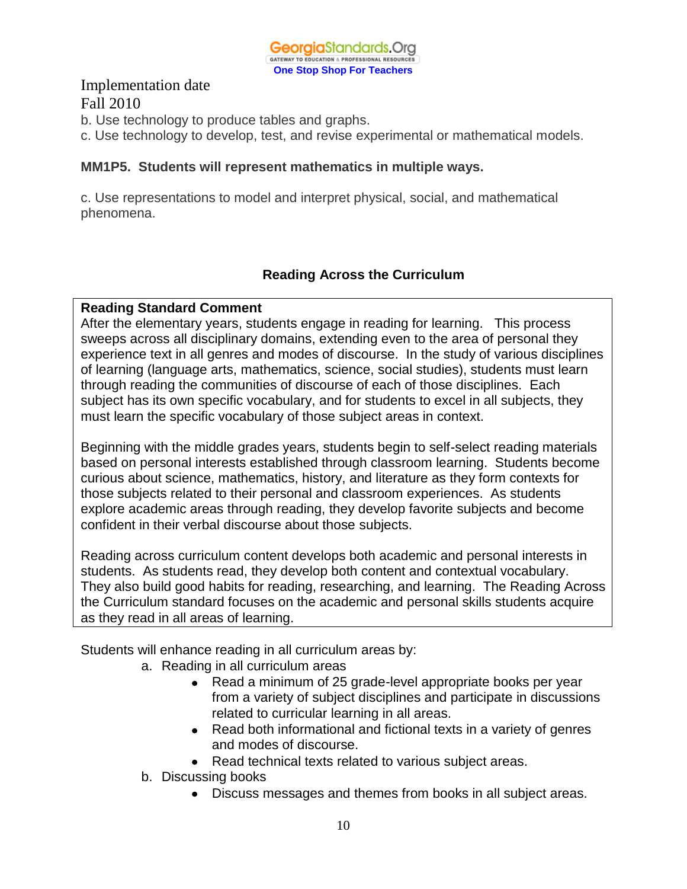

b. Use technology to produce tables and graphs.

c. Use technology to develop, test, and revise experimental or mathematical models.

#### **MM1P5. Students will represent mathematics in multiple ways.**

c. Use representations to model and interpret physical, social, and mathematical phenomena.

## **Reading Across the Curriculum**

#### **Reading Standard Comment**

After the elementary years, students engage in reading for learning. This process sweeps across all disciplinary domains, extending even to the area of personal they experience text in all genres and modes of discourse. In the study of various disciplines of learning (language arts, mathematics, science, social studies), students must learn through reading the communities of discourse of each of those disciplines. Each subject has its own specific vocabulary, and for students to excel in all subjects, they must learn the specific vocabulary of those subject areas in context.

Beginning with the middle grades years, students begin to self-select reading materials based on personal interests established through classroom learning. Students become curious about science, mathematics, history, and literature as they form contexts for those subjects related to their personal and classroom experiences. As students explore academic areas through reading, they develop favorite subjects and become confident in their verbal discourse about those subjects.

Reading across curriculum content develops both academic and personal interests in students. As students read, they develop both content and contextual vocabulary. They also build good habits for reading, researching, and learning. The Reading Across the Curriculum standard focuses on the academic and personal skills students acquire as they read in all areas of learning.

Students will enhance reading in all curriculum areas by:

- a. Reading in all curriculum areas
	- Read a minimum of 25 grade-level appropriate books per year from a variety of subject disciplines and participate in discussions related to curricular learning in all areas.
	- Read both informational and fictional texts in a variety of genres and modes of discourse.
	- Read technical texts related to various subject areas.
- b. Discussing books
	- Discuss messages and themes from books in all subject areas.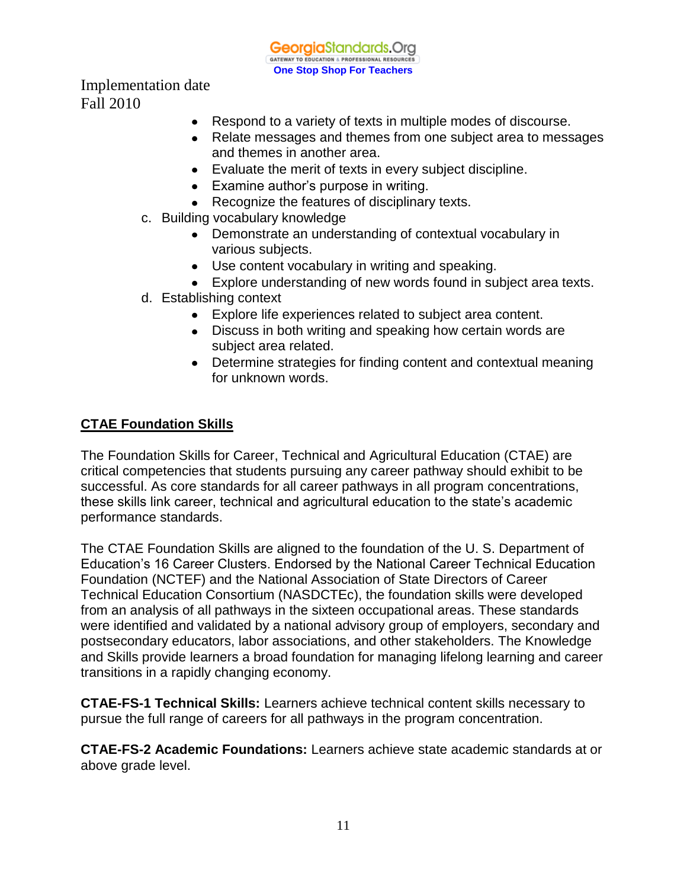**Georgia**Standards.Org GATEWAY TO EDUCATION & PROFESSIONAL RESOURCE **One Stop Shop For Teachers**

Implementation date Fall 2010

- Respond to a variety of texts in multiple modes of discourse.
- Relate messages and themes from one subject area to messages and themes in another area.
- Evaluate the merit of texts in every subject discipline.
- Examine author's purpose in writing.
- Recognize the features of disciplinary texts.
- c. Building vocabulary knowledge
	- Demonstrate an understanding of contextual vocabulary in various subjects.
	- Use content vocabulary in writing and speaking.
	- Explore understanding of new words found in subject area texts.
- d. Establishing context
	- Explore life experiences related to subject area content.
	- Discuss in both writing and speaking how certain words are subject area related.
	- Determine strategies for finding content and contextual meaning for unknown words.

## **CTAE Foundation Skills**

The Foundation Skills for Career, Technical and Agricultural Education (CTAE) are critical competencies that students pursuing any career pathway should exhibit to be successful. As core standards for all career pathways in all program concentrations, these skills link career, technical and agricultural education to the state's academic performance standards.

The CTAE Foundation Skills are aligned to the foundation of the U. S. Department of Education's 16 Career Clusters. Endorsed by the National Career Technical Education Foundation (NCTEF) and the National Association of State Directors of Career Technical Education Consortium (NASDCTEc), the foundation skills were developed from an analysis of all pathways in the sixteen occupational areas. These standards were identified and validated by a national advisory group of employers, secondary and postsecondary educators, labor associations, and other stakeholders. The Knowledge and Skills provide learners a broad foundation for managing lifelong learning and career transitions in a rapidly changing economy.

**CTAE-FS-1 Technical Skills:** Learners achieve technical content skills necessary to pursue the full range of careers for all pathways in the program concentration.

**CTAE-FS-2 Academic Foundations:** Learners achieve state academic standards at or above grade level.